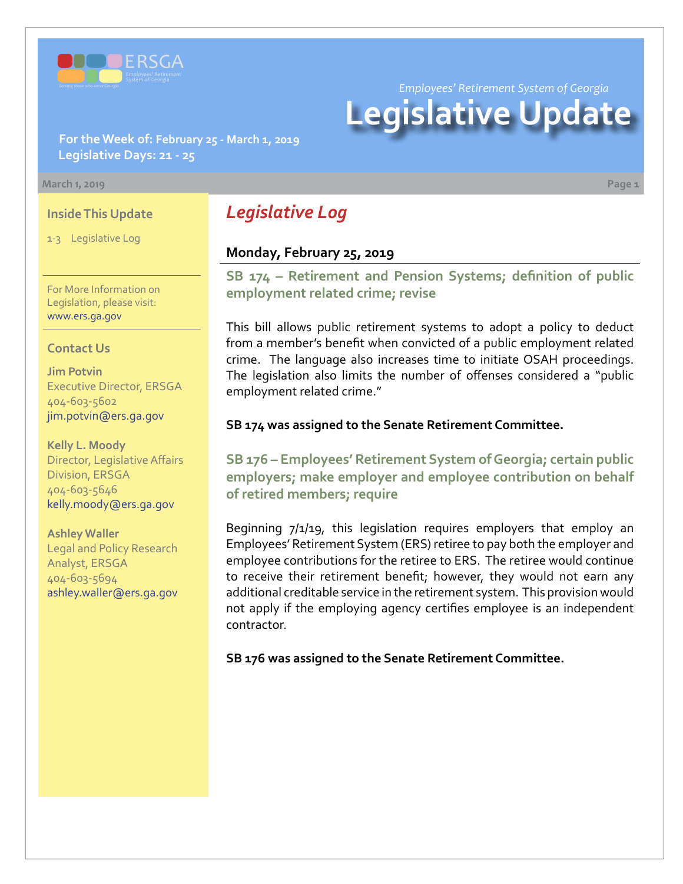

*Employees' Retirement System of Georgia*

# **Legislative Update**

**For the Week of: February 25 - March 1, 2019 Legislative Days: 21 - 25**

#### **March 1, 2019 Page 1**

### **Inside This Update**

1-3 Legislative Log

For More Information on Legislation, please visit: [www.ers.ga.gov](http://www.ers.ga.gov/)

#### **Contact Us**

**Jim Potvin** Executive Director, ERSGA 404-603-5602 jim.potvin@ers.ga.gov

**Kelly L. Moody** Director, Legislative Affairs Division, ERSGA 404-603-5646 kelly.moody@ers.ga.gov

**Ashley Waller** Legal and Policy Research Analyst, ERSGA 404-603-5694 ashley.waller@ers.ga.gov

# *Legislative Log*

### **Monday, February 25, 2019**

**SB 17[4 – R](http://www.legis.ga.gov/legislation/en-US/Display/20192020/SB/174)etirement and Pension Systems; definition of public employment related crime; revise**

This bill allows public retirement systems to adopt a policy to deduct from a member's benefit when convicted of a public employment related crime. The language also increases time to initiate OSAH proceedings. The legislation also limits the number of offenses considered a "public employment related crime."

#### **SB 174 was assigned to the Senate Retirement Committee.**

**SB 17[6 – E](http://www.legis.ga.gov/legislation/en-US/Display/20192020/SB/176)mployees' Retirement System of Georgia; certain public employers; make employer and employee contribution on behalf of retired members; require**

Beginning 7/1/19, this legislation requires employers that employ an Employees' Retirement System (ERS) retiree to pay both the employer and employee contributions for the retiree to ERS. The retiree would continue to receive their retirement benefit; however, they would not earn any additional creditable service in the retirement system. This provision would not apply if the employing agency certifies employee is an independent contractor.

**SB 176 was assigned to the Senate Retirement Committee.**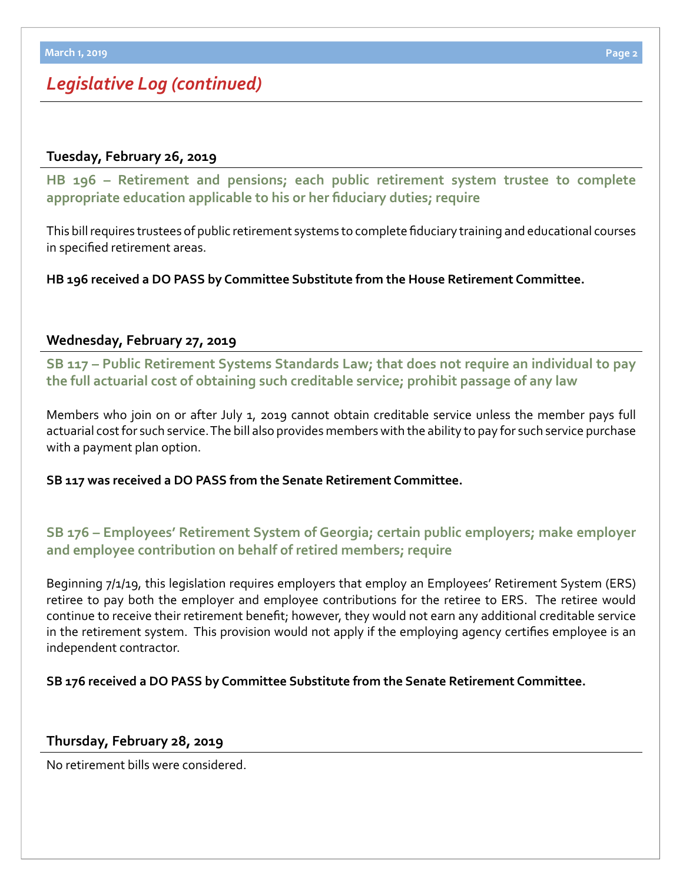# *Legislative Log (continued)*

# **Tuesday, February 26, 2019**

**HB 19[6 – R](http://www.legis.ga.gov/legislation/en-US/Display/20192020/HB/196)etirement and pensions; each public retirement system trustee to complete appropriate education applicable to his or her fiduciary duties; require**

This bill requires trustees of public retirement systems to complete fiduciary training and educational courses in specified retirement areas.

**HB 196 received a DO PASS by Committee Substitute from the House Retirement Committee.**

## **Wednesday, February 27, 2019**

**SB 11[7 – P](http://www.legis.ga.gov/legislation/en-US/Display/20192020/SB/117)ublic Retirement Systems Standards Law; that does not require an individual to pay the full actuarial cost of obtaining such creditable service; prohibit passage of any law**

Members who join on or after July 1, 2019 cannot obtain creditable service unless the member pays full actuarial cost for such service. The bill also provides members with the ability to pay for such service purchase with a payment plan option.

**SB 117 was received a DO PASS from the Senate Retirement Committee.**

**SB 17[6 – E](http://www.legis.ga.gov/legislation/en-US/Display/20192020/SB/176)mployees' Retirement System of Georgia; certain public employers; make employer and employee contribution on behalf of retired members; require**

Beginning 7/1/19, this legislation requires employers that employ an Employees' Retirement System (ERS) retiree to pay both the employer and employee contributions for the retiree to ERS. The retiree would continue to receive their retirement benefit; however, they would not earn any additional creditable service in the retirement system. This provision would not apply if the employing agency certifies employee is an independent contractor.

**SB 176 received a DO PASS by Committee Substitute from the Senate Retirement Committee.**

### **Thursday, February 28, 2019**

No retirement bills were considered.